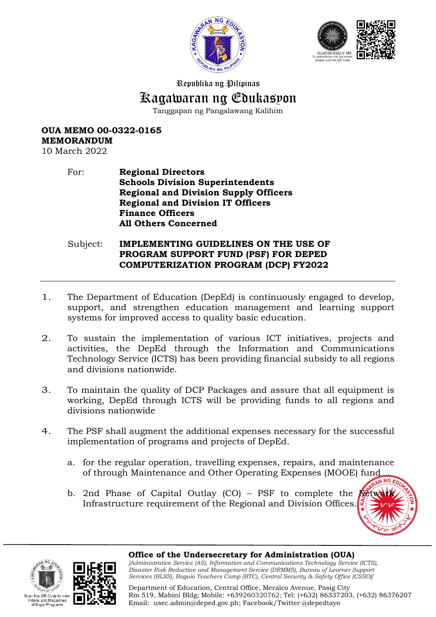



Republika ng Pilipinas

# Kagawaran ng Edukasyon

Tanggapan ng Pangalawang Kalihim

### **OUA MEMO 00-0322-0165 MEMORANDUM**

10 March 2022

#### For: **Regional Directors Schools Division Superintendents Regional and Division Supply Officers Regional and Division IT Officers Finance Officers All Others Concerned**

#### Subject: **IMPLEMENTING GUIDELINES ON THE USE OF PROGRAM SUPPORT FUND (PSF) FOR DEPED COMPUTERIZATION PROGRAM (DCP) FY2022**

- 1. The Department of Education (DepEd) is continuously engaged to develop, support, and strengthen education management and learning support systems for improved access to quality basic education.
- 2. To sustain the implementation of various ICT initiatives, projects and activities, the DepEd through the Information and Communications Technology Service (ICTS) has been providing financial subsidy to all regions and divisions nationwide.
- 3. To maintain the quality of DCP Packages and assure that all equipment is working, DepEd through ICTS will be providing funds to all regions and divisions nationwide
- 4. The PSF shall augment the additional expenses necessary for the successful implementation of programs and projects of DepEd.
	- a. for the regular operation, travelling expenses, repairs, and maintenance of through Maintenance and Other Operating Expenses (MOOE) fund
	- b. 2nd Phase of Capital Outlay  $(CO)$  PSF to complete the Infrastructure requirement of the Regional and Division Offices.







**Office of the Undersecretary for Administration (OUA)** 

*[Administrative Service (AS), Information and Communications Technology Service (ICTS), Disaster Risk Reduction and Management Service (DRMMS), Bureau of Learner Support Services (BLSS), Baguio Teachers Camp (BTC), Central Security & Safety Office (CSSO)]*

Department of Education, Central Office, Meralco Avenue, Pasig City Rm 519, Mabini Bldg; Mobile: +639260320762; Tel: (+632) 86337203, (+632) 86376207 Email: [usec.admin@deped.gov.ph;](mailto:usec.admin@deped.gov.ph) Facebook/Twitter @depedtayo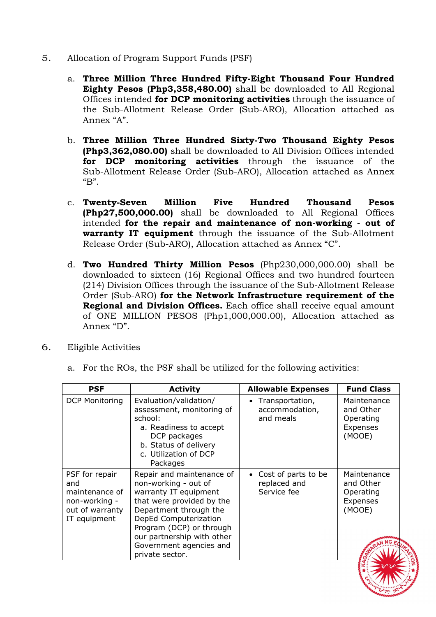- 5. Allocation of Program Support Funds (PSF)
	- a. **Three Million Three Hundred Fifty-Eight Thousand Four Hundred Eighty Pesos (Php3,358,480.00)** shall be downloaded to All Regional Offices intended **for DCP monitoring activities** through the issuance of the Sub-Allotment Release Order (Sub-ARO), Allocation attached as Annex "A".
	- b. **Three Million Three Hundred Sixty-Two Thousand Eighty Pesos (Php3,362,080.00)** shall be downloaded to All Division Offices intended **for DCP monitoring activities** through the issuance of the Sub-Allotment Release Order (Sub-ARO), Allocation attached as Annex "B".
	- c. **Twenty-Seven Million Five Hundred Thousand Pesos (Php27,500,000.00)** shall be downloaded to All Regional Offices intended **for the repair and maintenance of non-working - out of warranty IT equipment** through the issuance of the Sub-Allotment Release Order (Sub-ARO), Allocation attached as Annex "C".
	- d. **Two Hundred Thirty Million Pesos** (Php230,000,000.00) shall be downloaded to sixteen (16) Regional Offices and two hundred fourteen (214) Division Offices through the issuance of the Sub-Allotment Release Order (Sub-ARO) **for the Network Infrastructure requirement of the Regional and Division Offices.** Each office shall receive equal amount of ONE MILLION PESOS (Php1,000,000.00), Allocation attached as Annex "D".
- 6. Eligible Activities
	- a. For the ROs, the PSF shall be utilized for the following activities:

| <b>PSF</b>                                                                                  | <b>Activity</b>                                                                                                                                                                                                                                                    | <b>Allowable Expenses</b>                                   | <b>Fund Class</b>                                           |
|---------------------------------------------------------------------------------------------|--------------------------------------------------------------------------------------------------------------------------------------------------------------------------------------------------------------------------------------------------------------------|-------------------------------------------------------------|-------------------------------------------------------------|
| <b>DCP Monitoring</b>                                                                       | Evaluation/validation/<br>assessment, monitoring of<br>school:<br>a. Readiness to accept<br>DCP packages<br>b. Status of delivery<br>c. Utilization of DCP<br>Packages                                                                                             | Transportation,<br>$\bullet$<br>accommodation,<br>and meals | Maintenance<br>and Other<br>Operating<br>Expenses<br>(MOOE) |
| PSF for repair<br>and<br>maintenance of<br>non-working -<br>out of warranty<br>IT equipment | Repair and maintenance of<br>non-working - out of<br>warranty IT equipment<br>that were provided by the<br>Department through the<br>DepEd Computerization<br>Program (DCP) or through<br>our partnership with other<br>Government agencies and<br>private sector. | • Cost of parts to be<br>replaced and<br>Service fee        | Maintenance<br>and Other<br>Operating<br>Expenses<br>(MOOE) |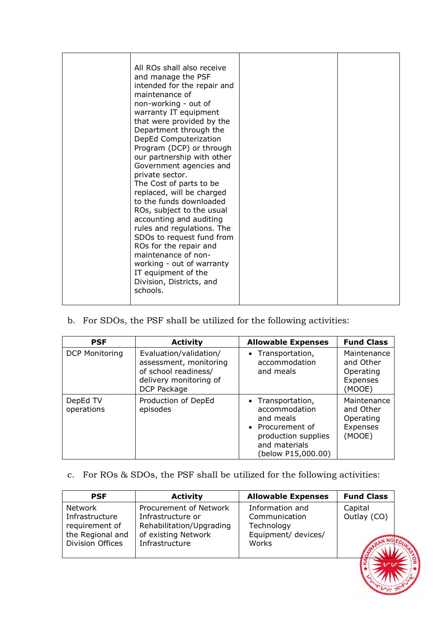| schools. | All ROs shall also receive<br>and manage the PSF<br>intended for the repair and<br>maintenance of<br>non-working - out of<br>warranty IT equipment<br>that were provided by the<br>Department through the<br>DepEd Computerization<br>Program (DCP) or through<br>our partnership with other<br>Government agencies and<br>private sector.<br>The Cost of parts to be<br>replaced, will be charged<br>to the funds downloaded<br>ROs, subject to the usual<br>accounting and auditing<br>rules and regulations. The<br>SDOs to request fund from<br>ROs for the repair and<br>maintenance of non-<br>working - out of warranty<br>IT equipment of the<br>Division, Districts, and |  |  |
|----------|-----------------------------------------------------------------------------------------------------------------------------------------------------------------------------------------------------------------------------------------------------------------------------------------------------------------------------------------------------------------------------------------------------------------------------------------------------------------------------------------------------------------------------------------------------------------------------------------------------------------------------------------------------------------------------------|--|--|
|----------|-----------------------------------------------------------------------------------------------------------------------------------------------------------------------------------------------------------------------------------------------------------------------------------------------------------------------------------------------------------------------------------------------------------------------------------------------------------------------------------------------------------------------------------------------------------------------------------------------------------------------------------------------------------------------------------|--|--|

b. For SDOs, the PSF shall be utilized for the following activities:

| <b>PSF</b>             | <b>Activity</b>                                                                                                   | <b>Allowable Expenses</b>                                                                                                         | <b>Fund Class</b>                                           |
|------------------------|-------------------------------------------------------------------------------------------------------------------|-----------------------------------------------------------------------------------------------------------------------------------|-------------------------------------------------------------|
| <b>DCP Monitoring</b>  | Evaluation/validation/<br>assessment, monitoring<br>of school readiness/<br>delivery monitoring of<br>DCP Package | • Transportation,<br>accommodation<br>and meals                                                                                   | Maintenance<br>and Other<br>Operating<br>Expenses<br>(MOOE) |
| DepEd TV<br>operations | Production of DepEd<br>episodes                                                                                   | • Transportation,<br>accommodation<br>and meals<br>• Procurement of<br>production supplies<br>and materials<br>(below P15,000.00) | Maintenance<br>and Other<br>Operating<br>Expenses<br>(MOOE) |

## c. For ROs & SDOs, the PSF shall be utilized for the following activities:

| <b>PSF</b>                                                                                 | <b>Activity</b>                                                                                                  | <b>Allowable Expenses</b>                                                      | <b>Fund Class</b>      |
|--------------------------------------------------------------------------------------------|------------------------------------------------------------------------------------------------------------------|--------------------------------------------------------------------------------|------------------------|
| <b>Network</b><br>Infrastructure<br>requirement of<br>the Regional and<br>Division Offices | Procurement of Network<br>Infrastructure or<br>Rehabilitation/Upgrading<br>of existing Network<br>Infrastructure | Information and<br>Communication<br>Technology<br>Equipment/ devices/<br>Works | Capital<br>Outlay (CO) |